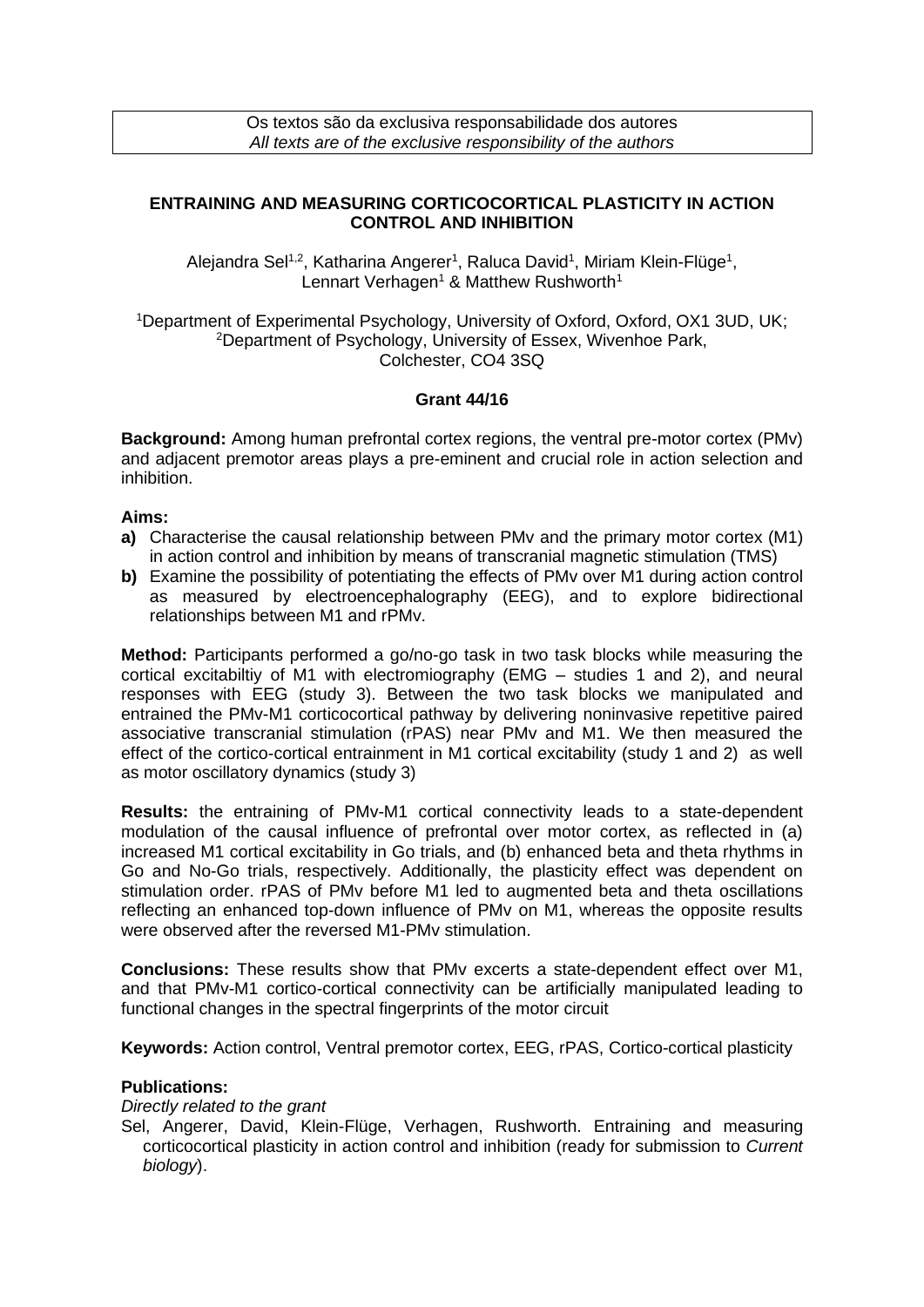# **ENTRAINING AND MEASURING CORTICOCORTICAL PLASTICITY IN ACTION CONTROL AND INHIBITION**

Alejandra Sel<sup>1,2</sup>, Katharina Angerer<sup>1</sup>, Raluca David<sup>1</sup>, Miriam Klein-Flüge<sup>1</sup>, Lennart Verhagen<sup>1</sup> & Matthew Rushworth<sup>1</sup>

<sup>1</sup>Department of Experimental Psychology, University of Oxford, Oxford, OX1 3UD, UK; <sup>2</sup>Department of Psychology, University of Essex, Wivenhoe Park, Colchester, CO4 3SQ

### **Grant 44/16**

**Background:** Among human prefrontal cortex regions, the ventral pre-motor cortex (PMv) and adjacent premotor areas plays a pre-eminent and crucial role in action selection and inhibition.

# **Aims:**

- **a)** Characterise the causal relationship between PMv and the primary motor cortex (M1) in action control and inhibition by means of transcranial magnetic stimulation (TMS)
- **b)** Examine the possibility of potentiating the effects of PMv over M1 during action control as measured by electroencephalography (EEG), and to explore bidirectional relationships between M1 and rPMv.

**Method:** Participants performed a go/no-go task in two task blocks while measuring the cortical excitabiltiy of M1 with electromiography (EMG – studies 1 and 2), and neural responses with EEG (study 3). Between the two task blocks we manipulated and entrained the PMv-M1 corticocortical pathway by delivering noninvasive repetitive paired associative transcranial stimulation (rPAS) near PMv and M1. We then measured the effect of the cortico-cortical entrainment in M1 cortical excitability (study 1 and 2) as well as motor oscillatory dynamics (study 3)

**Results:** the entraining of PMv-M1 cortical connectivity leads to a state-dependent modulation of the causal influence of prefrontal over motor cortex, as reflected in (a) increased M1 cortical excitability in Go trials, and (b) enhanced beta and theta rhythms in Go and No-Go trials, respectively. Additionally, the plasticity effect was dependent on stimulation order. rPAS of PMv before M1 led to augmented beta and theta oscillations reflecting an enhanced top-down influence of PMv on M1, whereas the opposite results were observed after the reversed M1-PMv stimulation.

**Conclusions:** These results show that PMv excerts a state-dependent effect over M1, and that PMv-M1 cortico-cortical connectivity can be artificially manipulated leading to functional changes in the spectral fingerprints of the motor circuit

**Keywords:** Action control, Ventral premotor cortex, EEG, rPAS, Cortico-cortical plasticity

### **Publications:**

### *Directly related to the grant*

Sel, Angerer, David, Klein-Flüge, Verhagen, Rushworth. Entraining and measuring corticocortical plasticity in action control and inhibition (ready for submission to *Current biology*).